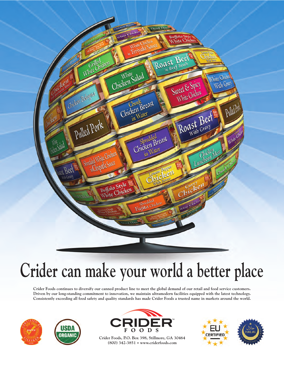

# **Crider can make your world a better place**

**Crider Foods continues to diversify our canned product line to meet the global demand of our retail and food service customers. Driven by our long-standing commitment to innovation, we maintain ultramodern facilities equipped with the latest technology. Consistently exceeding all food safety and quality standards has made Crider Foods a trusted name in markets around the world.**







**Crider Foods, P.O. Box 398, Stillmore, GA 30464 (800) 342-3851 • www.criderfoods.com**